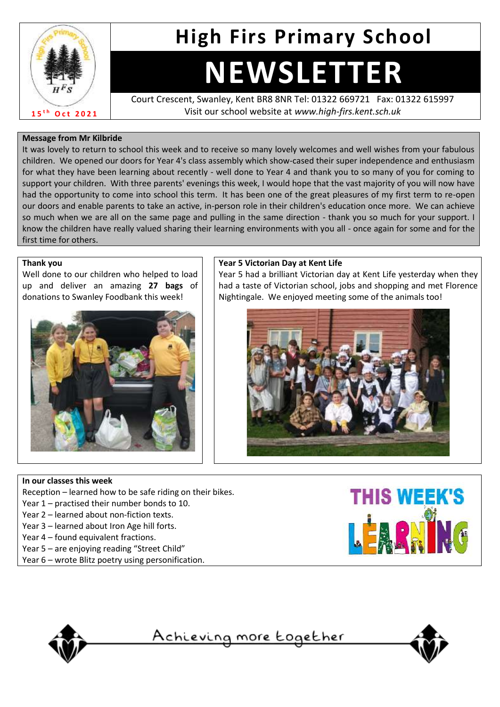

## **High Firs Primary School**

# **NEWSLETTER**

Court Crescent, Swanley, Kent BR8 8NR Tel: 01322 669721 Fax: 01322 615997 Visit our school website at *www.high-firs.kent.sch.uk*

#### **Message from Mr Kilbride**

It was lovely to return to school this week and to receive so many lovely welcomes and well wishes from your fabulous children. We opened our doors for Year 4's class assembly which show-cased their super independence and enthusiasm for what they have been learning about recently - well done to Year 4 and thank you to so many of you for coming to support your children. With three parents' evenings this week, I would hope that the vast majority of you will now have had the opportunity to come into school this term. It has been one of the great pleasures of my first term to re-open our doors and enable parents to take an active, in-person role in their children's education once more. We can achieve so much when we are all on the same page and pulling in the same direction - thank you so much for your support. I know the children have really valued sharing their learning environments with you all - once again for some and for the first time for others.

#### **Thank you**

Well done to our children who helped to load up and deliver an amazing **27 bags** of donations to Swanley Foodbank this week!



#### **Year 5 Victorian Day at Kent Life**

Year 5 had a brilliant Victorian day at Kent Life yesterday when they had a taste of Victorian school, jobs and shopping and met Florence Nightingale. We enjoyed meeting some of the animals too!



#### **In our classes this week**

Reception – learned how to be safe riding on their bikes.

- Year 1 practised their number bonds to 10.
- Year 2 learned about non-fiction texts.
- Year 3 learned about Iron Age hill forts.
- Year 4 found equivalent fractions.
- Year 5 are enjoying reading "Street Child"
- Year 6 wrote Blitz poetry using personification.





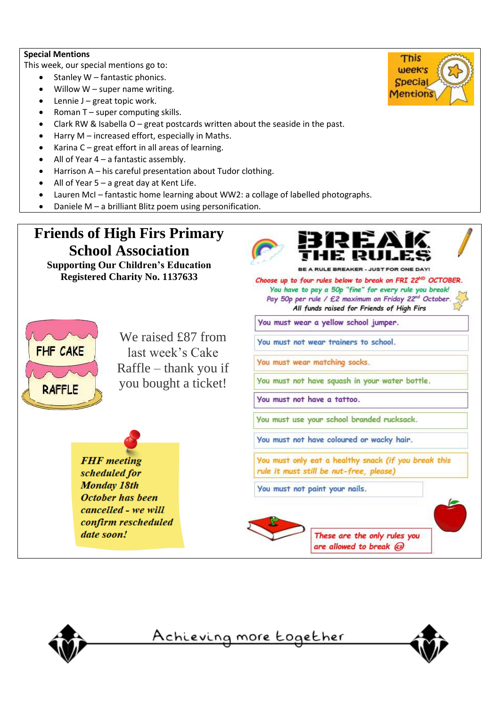#### **Special Mentions**

This week, our special mentions go to:

- Stanley W fantastic phonics.
- $\bullet$  Willow W super name writing.
- Lennie J great topic work.
- Roman  $T$  super computing skills.
- Clark RW & Isabella O great postcards written about the seaside in the past.
- Harry M increased effort, especially in Maths.
- Karina C great effort in all areas of learning.
- All of Year  $4 a$  fantastic assembly.
- Harrison A his careful presentation about Tudor clothing.
- All of Year  $5 a$  great day at Kent Life.
- Lauren McI fantastic home learning about WW2: a collage of labelled photographs.
- Daniele M a brilliant Blitz poem using personification.

## **Friends of High Firs Primary School Association**

**Supporting Our Children's Education Registered Charity No. 1137633**



We raised  $f87$  from last week's Cake Raffle – thank you if you bought a ticket!

**FHF** meeting scheduled for **Monday 18th October has been** cancelled - we will confirm rescheduled date soon!



**BREAKER - JUST FOR ONE DAY!** 

Choose up to four rules below to break on FRI 22<sup>ND</sup> OCTOBER. You have to pay a 50p "fine" for every rule you break! Pay 50p per rule / £2 maximum on Friday 22nd October. All funds raised for Friends of High Firs

You must wear a yellow school jumper.

You must not wear trainers to school.

You must wear matching socks.

You must not have squash in your water bottle.

You must not have a tattoo.

You must use your school branded rucksack.

You must not have coloured or wacky hair.

You must only eat a healthy snack (if you break this rule it must still be nut-free, please)

You must not paint your nails.







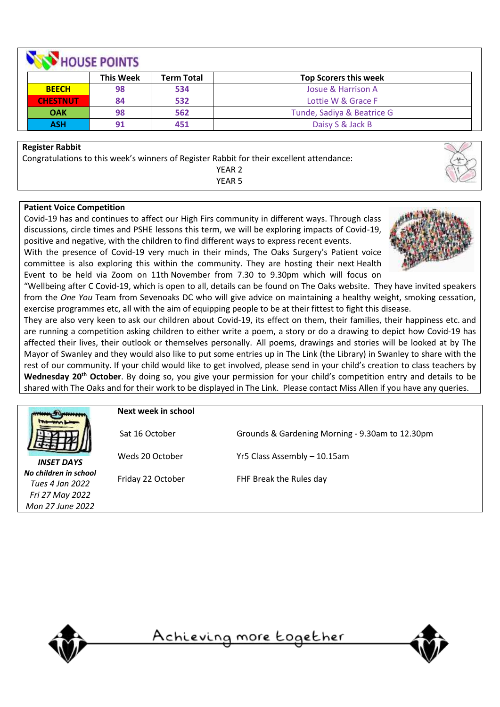| HOUSE POINTS    |                  |                   |                              |
|-----------------|------------------|-------------------|------------------------------|
|                 | <b>This Week</b> | <b>Term Total</b> | <b>Top Scorers this week</b> |
| <b>BEECH</b>    | 98               | 534               | Josue & Harrison A           |
| <b>CHESTNUT</b> | 84               | 532               | Lottie W & Grace F           |
| <b>OAK</b>      | 98               | 562               | Tunde, Sadiya & Beatrice G   |
| <b>ASH</b>      | 91               | 451               | Daisy S & Jack B             |

#### **Register Rabbit**

Congratulations to this week's winners of Register Rabbit for their excellent attendance: YEAR 2

YEAR 5

#### **Patient Voice Competition**

Covid-19 has and continues to affect our High Firs community in different ways. Through class discussions, circle times and PSHE lessons this term, we will be exploring impacts of Covid-19, positive and negative, with the children to find different ways to express recent events.

With the presence of Covid-19 very much in their minds, The Oaks Surgery's Patient voice committee is also exploring this within the community. They are hosting their next Health Event to be held via Zoom on 11th November from 7.30 to 9.30pm which will focus on



"Wellbeing after C Covid-19, which is open to all, details can be found on The Oaks website. They have invited speakers from the *One You* Team from Sevenoaks DC who will give advice on maintaining a healthy weight, smoking cessation, exercise programmes etc, all with the aim of equipping people to be at their fittest to fight this disease.

They are also very keen to ask our children about Covid-19, its effect on them, their families, their happiness etc. and are running a competition asking children to either write a poem, a story or do a drawing to depict how Covid-19 has affected their lives, their outlook or themselves personally. All poems, drawings and stories will be looked at by The Mayor of Swanley and they would also like to put some entries up in The Link (the Library) in Swanley to share with the rest of our community. If your child would like to get involved, please send in your child's creation to class teachers by **Wednesday 20th October**. By doing so, you give your permission for your child's competition entry and details to be shared with The Oaks and for their work to be displayed in The Link. Please contact Miss Allen if you have any queries.

*INSET DAYS No children in school Tues 4 Jan 2022 Fri 27 May 2022 Mon 27 June 2022*

**Next week in school**

Sat 16 October Grounds & Gardening Morning - 9.30am to 12.30pm

Weds 20 October Yr5 Class Assembly – 10.15am

Friday 22 October FHF Break the Rules day